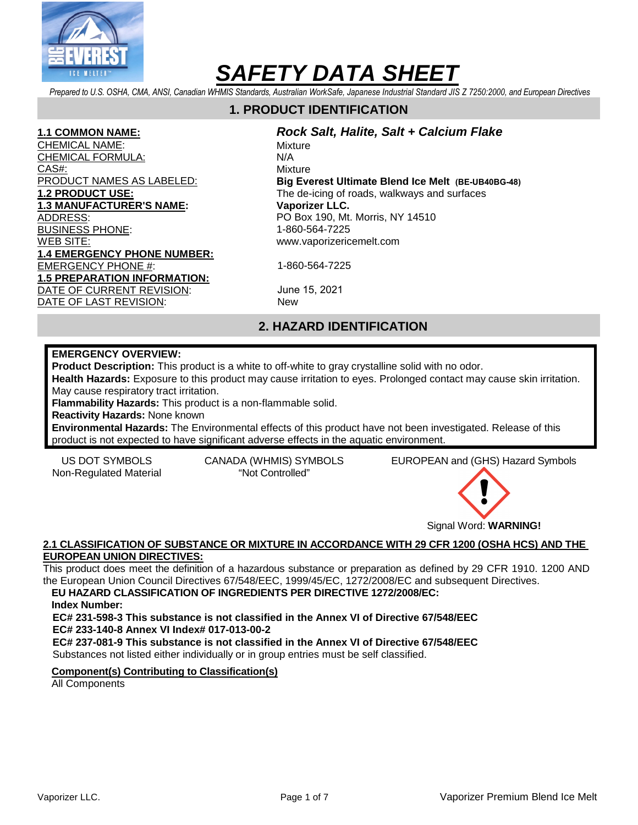

*Prepared to U.S. OSHA, CMA, ANSI, Canadian WHMIS Standards, Australian WorkSafe, Japanese Industrial Standard JIS Z 7250:2000, and European Directives* 

# **1. PRODUCT IDENTIFICATION**

#### **1.1 COMMON NAME:**

CHEMICAL NAME: CHEMICAL FORMULA: CAS#: PRODUCT NAMES AS LABELED: **1.2 PRODUCT USE: 1.3 MANUFACTURER'S NAME:**  ADDRESS: BUSINESS PHONE: WEB SITE: **1.4 EMERGENCY PHONE NUMBER:** EMERGENCY PHONE #: **1.5 PREPARATION INFORMATION:**  DATE OF CURRENT REVISION: DATE OF LAST REVISION:

#### **Rock Salt, Halite, Salt + Calcium Flake Mixture** N/A

Mixture **Big Everest Ultimate Blend Ice Melt (BE-UB40BG-48)** The de-icing of roads, walkways and surfaces **Vaporizer LLC.**  PO Box 190, Mt. Morris, NY 14510 1-860-564-7225 www.vaporizericemelt.com

1-860-564-7225

June 15, 2021 New

# **2. HAZARD IDENTIFICATION**

#### **EMERGENCY OVERVIEW:**

**Product Description:** This product is a white to off-white to gray crystalline solid with no odor.

**Health Hazards:** Exposure to this product may cause irritation to eyes. Prolonged contact may cause skin irritation. May cause respiratory tract irritation.

**Flammability Hazards:** This product is a non-flammable solid.

**Reactivity Hazards:** None known

**Environmental Hazards:** The Environmental effects of this product have not been investigated. Release of this product is not expected to have significant adverse effects in the aquatic environment.

Non-Regulated Material "Not Controlled"

US DOT SYMBOLS CANADA (WHMIS) SYMBOLS EUROPEAN and (GHS) Hazard Symbols



#### **2.1 CLASSIFICATION OF SUBSTANCE OR MIXTURE IN ACCORDANCE WITH 29 CFR 1200 (OSHA HCS) AND THE EUROPEAN UNION DIRECTIVES:**

This product does meet the definition of a hazardous substance or preparation as defined by 29 CFR 1910. 1200 AND the European Union Council Directives 67/548/EEC, 1999/45/EC, 1272/2008/EC and subsequent Directives.

**EU HAZARD CLASSIFICATION OF INGREDIENTS PER DIRECTIVE 1272/2008/EC:** 

**Index Number:** 

**EC# 231-598-3 This substance is not classified in the Annex VI of Directive 67/548/EEC EC# 233-140-8 Annex VI Index# 017-013-00-2** 

**EC# 237-081-9 This substance is not classified in the Annex VI of Directive 67/548/EEC**  Substances not listed either individually or in group entries must be self classified.

**Component(s) Contributing to Classification(s)**

All Components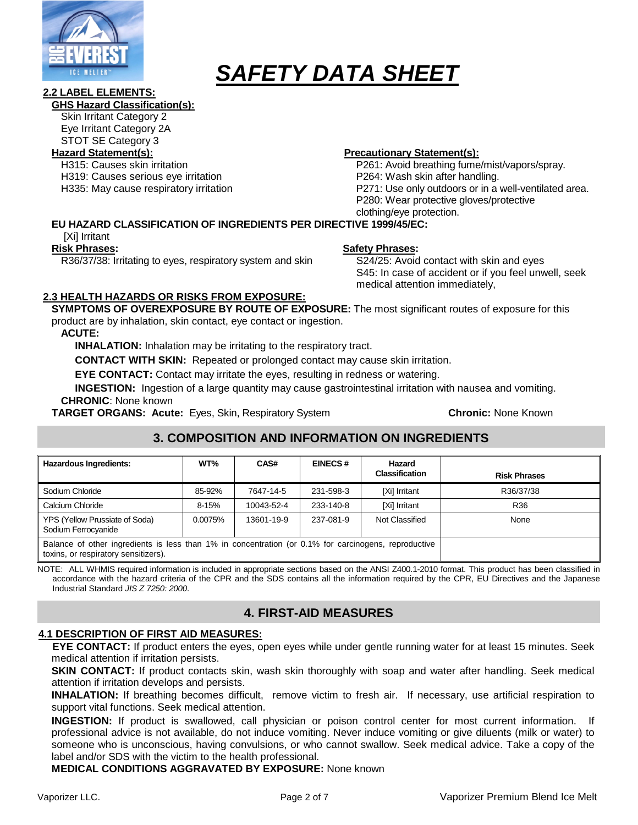

#### **2.2 LABEL ELEMENTS:**

#### **GHS Hazard Classification(s):**

Skin Irritant Category 2

Eye Irritant Category 2A STOT SE Category 3

H315: Causes skin irritation

H319: Causes serious eye irritation

H335: May cause respiratory irritation

#### **Hazard Statement(s): Precautionary Statement(s):**

P261: Avoid breathing fume/mist/vapors/spray. P264: Wash skin after handling. P271: Use only outdoors or in a well-ventilated area. P280: Wear protective gloves/protective clothing/eye protection.

### **EU HAZARD CLASSIFICATION OF INGREDIENTS PER DIRECTIVE 1999/45/EC:**

[Xi] Irritant

#### **Risk Phrases:**

R36/37/38: Irritating to eyes, respiratory system and skin

### **Safety Phrases:**

S24/25: Avoid contact with skin and eyes S45: In case of accident or if you feel unwell, seek medical attention immediately,

#### **2.3 HEALTH HAZARDS OR RISKS FROM EXPOSURE:**

**SYMPTOMS OF OVEREXPOSURE BY ROUTE OF EXPOSURE:** The most significant routes of exposure for this product are by inhalation, skin contact, eye contact or ingestion.

#### **ACUTE:**

**INHALATION:** Inhalation may be irritating to the respiratory tract.

**CONTACT WITH SKIN:** Repeated or prolonged contact may cause skin irritation.

**EYE CONTACT:** Contact may irritate the eyes, resulting in redness or watering.

**INGESTION:** Ingestion of a large quantity may cause gastrointestinal irritation with nausea and vomiting. **CHRONIC**: None known

**TARGET ORGANS: Acute:** Eyes, Skin, Respiratory System **Chronic:** None Known

# **3. COMPOSITION AND INFORMATION ON INGREDIENTS**

| <b>Hazardous Ingredients:</b>                                                                                                                | WT%       | CAS#       | <b>EINECS#</b> | Hazard<br><b>Classification</b> | <b>Risk Phrases</b> |
|----------------------------------------------------------------------------------------------------------------------------------------------|-----------|------------|----------------|---------------------------------|---------------------|
| Sodium Chloride                                                                                                                              | 85-92%    | 7647-14-5  | 231-598-3      | [Xi] Irritant                   | R36/37/38           |
| Calcium Chloride                                                                                                                             | $8 - 15%$ | 10043-52-4 | 233-140-8      | [Xi] Irritant                   | R36                 |
| YPS (Yellow Prussiate of Soda)<br>Sodium Ferrocyanide                                                                                        | 0.0075%   | 13601-19-9 | 237-081-9      | Not Classified                  | None                |
| Balance of other ingredients is less than 1% in concentration (or 0.1% for carcinogens, reproductive<br>toxins, or respiratory sensitizers). |           |            |                |                                 |                     |

NOTE: ALL WHMIS required information is included in appropriate sections based on the ANSI Z400.1-2010 format. This product has been classified in accordance with the hazard criteria of the CPR and the SDS contains all the information required by the CPR, EU Directives and the Japanese Industrial Standard JIS Z 7250: 2000.

# **4. FIRST-AID MEASURES**

#### **4.1 DESCRIPTION OF FIRST AID MEASURES:**

**EYE CONTACT:** If product enters the eyes, open eyes while under gentle running water for at least 15 minutes. Seek medical attention if irritation persists.

**SKIN CONTACT:** If product contacts skin, wash skin thoroughly with soap and water after handling. Seek medical attention if irritation develops and persists.

**INHALATION:** If breathing becomes difficult, remove victim to fresh air. If necessary, use artificial respiration to support vital functions. Seek medical attention.

**INGESTION:** If product is swallowed, call physician or poison control center for most current information. If professional advice is not available, do not induce vomiting. Never induce vomiting or give diluents (milk or water) to someone who is unconscious, having convulsions, or who cannot swallow. Seek medical advice. Take a copy of the label and/or SDS with the victim to the health professional.

**MEDICAL CONDITIONS AGGRAVATED BY EXPOSURE:** None known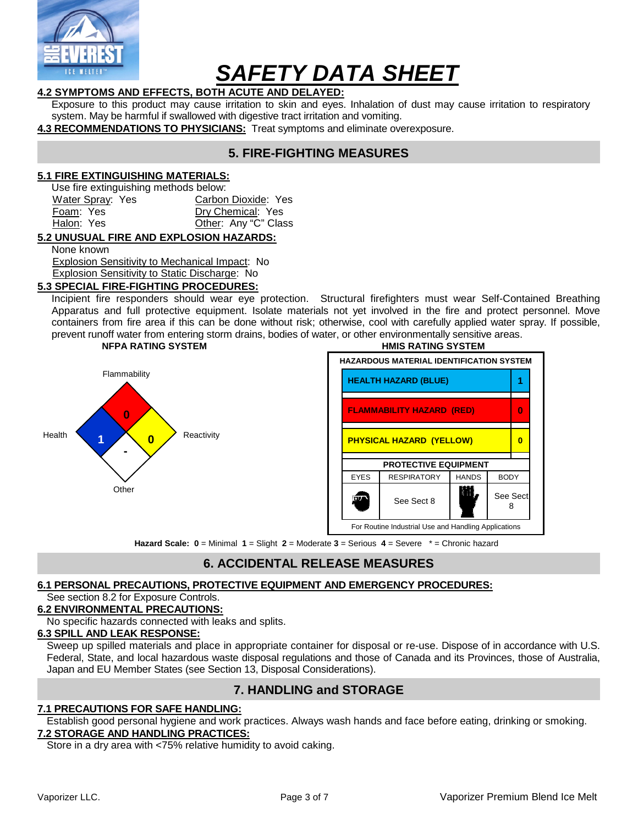

# **4.2 SYMPTOMS AND EFFECTS, BOTH ACUTE AND DELAYED:**

Exposure to this product may cause irritation to skin and eyes. Inhalation of dust may cause irritation to respiratory system. May be harmful if swallowed with digestive tract irritation and vomiting.

**4.3 RECOMMENDATIONS TO PHYSICIANS:** Treat symptoms and eliminate overexposure.

# **5. FIRE-FIGHTING MEASURES**

#### **5.1 FIRE EXTINGUISHING MATERIALS:**

Use fire extinguishing methods below:

| Water Spray: Yes | Carbon Dioxide: Yes  |
|------------------|----------------------|
| Foam: Yes        | Dry Chemical: Yes    |
| Halon: Yes       | Other: Any "C" Class |
|                  |                      |

#### **5.2 UNUSUAL FIRE AND EXPLOSION HAZARDS:**

None known

Explosion Sensitivity to Mechanical Impact: No

#### Explosion Sensitivity to Static Discharge: No **5.3 SPECIAL FIRE-FIGHTING PROCEDURES:**

Incipient fire responders should wear eye protection. Structural firefighters must wear Self-Contained Breathing Apparatus and full protective equipment. Isolate materials not yet involved in the fire and protect personnel. Move containers from fire area if this can be done without risk; otherwise, cool with carefully applied water spray. If possible, prevent runoff water from entering storm drains, bodies of water, or other environmentally sensitive areas.





#### **Hazard Scale: 0** = Minimal **1** = Slight **2** = Moderate **3** = Serious **4** = Severe \* = Chronic hazard

### **6. ACCIDENTAL RELEASE MEASURES**

#### **6.1 PERSONAL PRECAUTIONS, PROTECTIVE EQUIPMENT AND EMERGENCY PROCEDURES:**

#### See section 8.2 for Exposure Controls.

#### **6.2 ENVIRONMENTAL PRECAUTIONS:**

No specific hazards connected with leaks and splits.

#### **6.3 SPILL AND LEAK RESPONSE:**

Sweep up spilled materials and place in appropriate container for disposal or re-use. Dispose of in accordance with U.S. Federal, State, and local hazardous waste disposal regulations and those of Canada and its Provinces, those of Australia, Japan and EU Member States (see Section 13, Disposal Considerations).

# **7. HANDLING and STORAGE**

#### **7.1 PRECAUTIONS FOR SAFE HANDLING:**

Establish good personal hygiene and work practices. Always wash hands and face before eating, drinking or smoking. **7.2 STORAGE AND HANDLING PRACTICES:**

Store in a dry area with <75% relative humidity to avoid caking.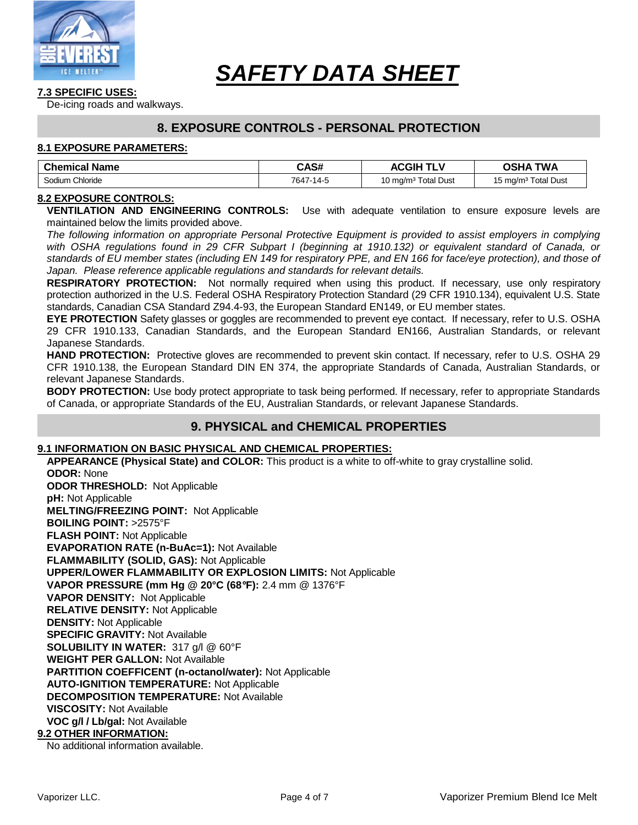

#### **7.3 SPECIFIC USES:**

De-icing roads and walkways.

### **8. EXPOSURE CONTROLS - PERSONAL PROTECTION**

#### **8.1 EXPOSURE PARAMETERS:**

| <b>Chemical Name</b> | CAS#      | <b>ACGIH TLV</b>                | <b>TWA</b><br>OSHA              |
|----------------------|-----------|---------------------------------|---------------------------------|
| Sodium<br>Chloride   | 7647-14-5 | 10 mg/m <sup>3</sup> Total Dust | 15 mg/m <sup>3</sup> Total Dust |

#### **8.2 EXPOSURE CONTROLS:**

**VENTILATION AND ENGINEERING CONTROLS:** Use with adequate ventilation to ensure exposure levels are maintained below the limits provided above.

The following information on appropriate Personal Protective Equipment is provided to assist employers in complying with OSHA regulations found in 29 CFR Subpart I (beginning at 1910.132) or equivalent standard of Canada, or standards of EU member states (including EN 149 for respiratory PPE, and EN 166 for face/eye protection), and those of Japan. Please reference applicable regulations and standards for relevant details.

**RESPIRATORY PROTECTION:** Not normally required when using this product. If necessary, use only respiratory protection authorized in the U.S. Federal OSHA Respiratory Protection Standard (29 CFR 1910.134), equivalent U.S. State standards, Canadian CSA Standard Z94.4-93, the European Standard EN149, or EU member states.

**EYE PROTECTION** Safety glasses or goggles are recommended to prevent eye contact. If necessary, refer to U.S. OSHA 29 CFR 1910.133, Canadian Standards, and the European Standard EN166, Australian Standards, or relevant Japanese Standards.

**HAND PROTECTION:** Protective gloves are recommended to prevent skin contact. If necessary, refer to U.S. OSHA 29 CFR 1910.138, the European Standard DIN EN 374, the appropriate Standards of Canada, Australian Standards, or relevant Japanese Standards.

**BODY PROTECTION:** Use body protect appropriate to task being performed. If necessary, refer to appropriate Standards of Canada, or appropriate Standards of the EU, Australian Standards, or relevant Japanese Standards.

### **9. PHYSICAL and CHEMICAL PROPERTIES**

### **9.1 INFORMATION ON BASIC PHYSICAL AND CHEMICAL PROPERTIES:**

**APPEARANCE (Physical State) and COLOR:** This product is a white to off-white to gray crystalline solid. **ODOR:** None **ODOR THRESHOLD:** Not Applicable **pH:** Not Applicable **MELTING/FREEZING POINT:** Not Applicable **BOILING POINT:** >2575°F **FLASH POINT:** Not Applicable **EVAPORATION RATE (n-BuAc=1):** Not Available **FLAMMABILITY (SOLID, GAS):** Not Applicable **UPPER/LOWER FLAMMABILITY OR EXPLOSION LIMITS:** Not Applicable **VAPOR PRESSURE (mm Hg @ 20°C (68**°**F):** 2.4 mm @ 1376°F **VAPOR DENSITY:** Not Applicable **RELATIVE DENSITY:** Not Applicable **DENSITY:** Not Applicable **SPECIFIC GRAVITY:** Not Available **SOLUBILITY IN WATER:** 317 g/l @ 60°F **WEIGHT PER GALLON:** Not Available **PARTITION COEFFICENT (n-octanol/water):** Not Applicable **AUTO-IGNITION TEMPERATURE:** Not Applicable **DECOMPOSITION TEMPERATURE:** Not Available **VISCOSITY:** Not Available **VOC g/l / Lb/gal:** Not Available **9.2 OTHER INFORMATION:**

No additional information available.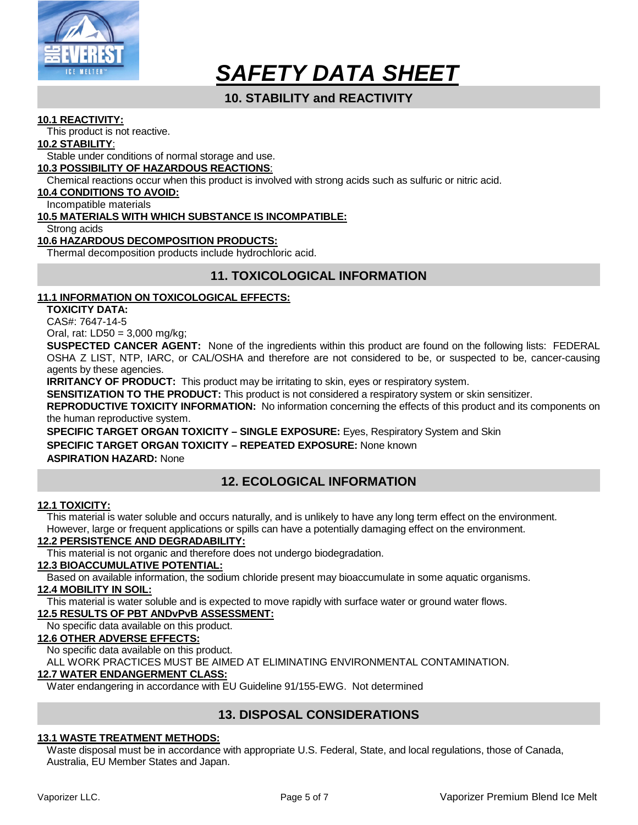

# **10. STABILITY and REACTIVITY**

#### **10.1 REACTIVITY:**

This product is not reactive.

#### **10.2 STABILITY**:

Stable under conditions of normal storage and use.

#### **10.3 POSSIBILITY OF HAZARDOUS REACTIONS**:

Chemical reactions occur when this product is involved with strong acids such as sulfuric or nitric acid.

#### **10.4 CONDITIONS TO AVOID:**

Incompatible materials

#### **10.5 MATERIALS WITH WHICH SUBSTANCE IS INCOMPATIBLE:**

Strong acids

#### **10.6 HAZARDOUS DECOMPOSITION PRODUCTS:**

Thermal decomposition products include hydrochloric acid.

# **11. TOXICOLOGICAL INFORMATION**

#### **11.1 INFORMATION ON TOXICOLOGICAL EFFECTS:**

**TOXICITY DATA:** 

CAS#: 7647-14-5

Oral, rat: LD50 = 3,000 mg/kg;

**SUSPECTED CANCER AGENT:** None of the ingredients within this product are found on the following lists: FEDERAL OSHA Z LIST, NTP, IARC, or CAL/OSHA and therefore are not considered to be, or suspected to be, cancer-causing agents by these agencies.

**IRRITANCY OF PRODUCT:** This product may be irritating to skin, eyes or respiratory system.

**SENSITIZATION TO THE PRODUCT:** This product is not considered a respiratory system or skin sensitizer.

**REPRODUCTIVE TOXICITY INFORMATION:** No information concerning the effects of this product and its components on the human reproductive system.

**SPECIFIC TARGET ORGAN TOXICITY – SINGLE EXPOSURE:** Eyes, Respiratory System and Skin

#### **SPECIFIC TARGET ORGAN TOXICITY – REPEATED EXPOSURE:** None known

**ASPIRATION HAZARD:** None

# **12. ECOLOGICAL INFORMATION**

#### **12.1 TOXICITY:**

This material is water soluble and occurs naturally, and is unlikely to have any long term effect on the environment. However, large or frequent applications or spills can have a potentially damaging effect on the environment.

#### **12.2 PERSISTENCE AND DEGRADABILITY:**

This material is not organic and therefore does not undergo biodegradation.

#### **12.3 BIOACCUMULATIVE POTENTIAL:**

Based on available information, the sodium chloride present may bioaccumulate in some aquatic organisms.

#### **12.4 MOBILITY IN SOIL:**

This material is water soluble and is expected to move rapidly with surface water or ground water flows.

#### **12.5 RESULTS OF PBT ANDvPvB ASSESSMENT:**

No specific data available on this product.

#### **12.6 OTHER ADVERSE EFFECTS:**

No specific data available on this product.

ALL WORK PRACTICES MUST BE AIMED AT ELIMINATING ENVIRONMENTAL CONTAMINATION.

#### **12.7 WATER ENDANGERMENT CLASS:**

Water endangering in accordance with EU Guideline 91/155-EWG. Not determined

# **13. DISPOSAL CONSIDERATIONS**

#### **13.1 WASTE TREATMENT METHODS:**

Waste disposal must be in accordance with appropriate U.S. Federal, State, and local regulations, those of Canada, Australia, EU Member States and Japan.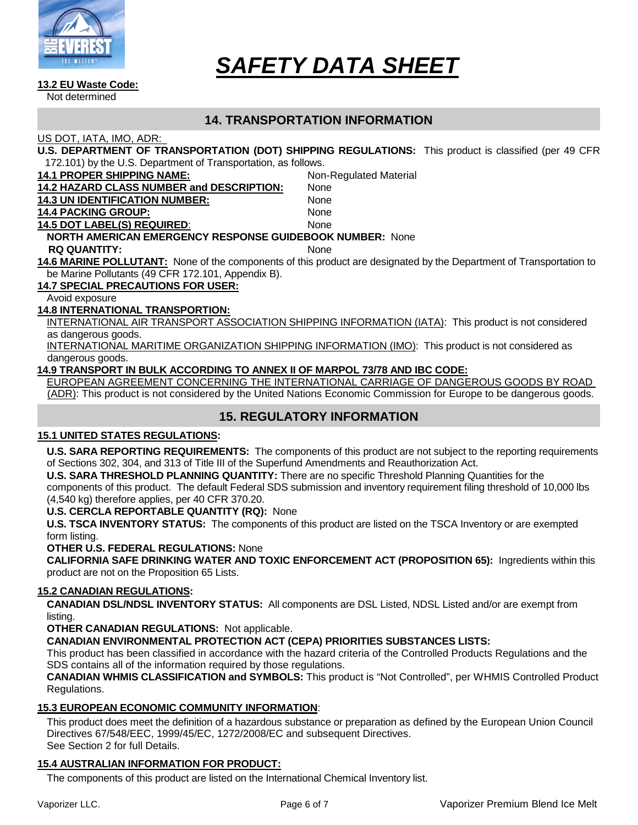

#### **13.2 EU Waste Code:**

Not determined

# **14. TRANSPORTATION INFORMATION**

#### US DOT, IATA, IMO, ADR:

**U.S. DEPARTMENT OF TRANSPORTATION (DOT) SHIPPING REGULATIONS:** This product is classified (per 49 CFR 172.101) by the U.S. Department of Transportation, as follows.

| <b>14.1 PROPER SHIPPING NAME:</b>                                                   | <b>Non-Regulated Material</b> |  |  |  |
|-------------------------------------------------------------------------------------|-------------------------------|--|--|--|
| <b>14.2 HAZARD CLASS NUMBER and DESCRIPTION:</b>                                    | <b>None</b>                   |  |  |  |
| <b>14.3 UN IDENTIFICATION NUMBER:</b>                                               | None                          |  |  |  |
| <b>14.4 PACKING GROUP:</b>                                                          | <b>None</b>                   |  |  |  |
| <b>14.5 DOT LABEL(S) REQUIRED:</b>                                                  | <b>None</b>                   |  |  |  |
| <b>NORTH AMERICAN EMERGENCY RESPONSE GUIDEBOOK NUMBER: None</b>                     |                               |  |  |  |
| <b>RQ QUANTITY:</b>                                                                 | <b>None</b>                   |  |  |  |
| <b>14.6 MARINE POLLUTANT:</b> None of the components of this product are designated |                               |  |  |  |
| be Marine Pollutants (49 CFR 172.101, Appendix B).                                  |                               |  |  |  |
|                                                                                     |                               |  |  |  |

#### **14.7 SPECIAL PRECAUTIONS FOR USER:**

Avoid exposure

#### **14.8 INTERNATIONAL TRANSPORTION:**

INTERNATIONAL AIR TRANSPORT ASSOCIATION SHIPPING INFORMATION (IATA): This product is not considered as dangerous goods.

INTERNATIONAL MARITIME ORGANIZATION SHIPPING INFORMATION (IMO): This product is not considered as dangerous goods.

#### **14.9 TRANSPORT IN BULK ACCORDING TO ANNEX II OF MARPOL 73/78 AND IBC CODE:**

EUROPEAN AGREEMENT CONCERNING THE INTERNATIONAL CARRIAGE OF DANGEROUS GOODS BY ROAD (ADR): This product is not considered by the United Nations Economic Commission for Europe to be dangerous goods.

# **15. REGULATORY INFORMATION**

#### **15.1 UNITED STATES REGULATIONS:**

**U.S. SARA REPORTING REQUIREMENTS:** The components of this product are not subject to the reporting requirements of Sections 302, 304, and 313 of Title III of the Superfund Amendments and Reauthorization Act.

**U.S. SARA THRESHOLD PLANNING QUANTITY:** There are no specific Threshold Planning Quantities for the

components of this product. The default Federal SDS submission and inventory requirement filing threshold of 10,000 lbs (4,540 kg) therefore applies, per 40 CFR 370.20.

#### **U.S. CERCLA REPORTABLE QUANTITY (RQ):** None

**U.S. TSCA INVENTORY STATUS:** The components of this product are listed on the TSCA Inventory or are exempted form listing.

**OTHER U.S. FEDERAL REGULATIONS:** None

**CALIFORNIA SAFE DRINKING WATER AND TOXIC ENFORCEMENT ACT (PROPOSITION 65):** Ingredients within this product are not on the Proposition 65 Lists.

#### **15.2 CANADIAN REGULATIONS:**

**CANADIAN DSL/NDSL INVENTORY STATUS:** All components are DSL Listed, NDSL Listed and/or are exempt from listing.

**OTHER CANADIAN REGULATIONS:** Not applicable.

**CANADIAN ENVIRONMENTAL PROTECTION ACT (CEPA) PRIORITIES SUBSTANCES LISTS:**

This product has been classified in accordance with the hazard criteria of the Controlled Products Regulations and the SDS contains all of the information required by those regulations.

**CANADIAN WHMIS CLASSIFICATION and SYMBOLS:** This product is "Not Controlled", per WHMIS Controlled Product Regulations.

#### **15.3 EUROPEAN ECONOMIC COMMUNITY INFORMATION**:

This product does meet the definition of a hazardous substance or preparation as defined by the European Union Council Directives 67/548/EEC, 1999/45/EC, 1272/2008/EC and subsequent Directives. See Section 2 for full Details.

#### **15.4 AUSTRALIAN INFORMATION FOR PRODUCT:**

The components of this product are listed on the International Chemical Inventory list.

by the Department of Transportation to